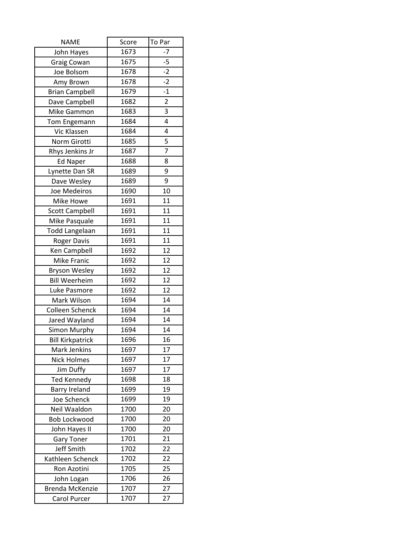| <b>NAME</b>             | Score | To Par         |
|-------------------------|-------|----------------|
| John Hayes              | 1673  | $-7$           |
| Graig Cowan             | 1675  | $-5$           |
| Joe Bolsom              | 1678  | $-2$           |
| Amy Brown               | 1678  | $-2$           |
| <b>Brian Campbell</b>   | 1679  | $-1$           |
| Dave Campbell           | 1682  | $\overline{2}$ |
| Mike Gammon             | 1683  | 3              |
| Tom Engemann            | 1684  | 4              |
| Vic Klassen             | 1684  | 4              |
| Norm Girotti            | 1685  | 5              |
| Rhys Jenkins Jr         | 1687  | 7              |
| <b>Ed Naper</b>         | 1688  | 8              |
| Lynette Dan SR          | 1689  | 9              |
| Dave Wesley             | 1689  | 9              |
| Joe Medeiros            | 1690  | 10             |
| Mike Howe               | 1691  | 11             |
| <b>Scott Campbell</b>   | 1691  | 11             |
| Mike Pasquale           | 1691  | 11             |
| Todd Langelaan          | 1691  | 11             |
| <b>Roger Davis</b>      | 1691  | 11             |
| Ken Campbell            | 1692  | 12             |
| Mike Franic             | 1692  | 12             |
| <b>Bryson Wesley</b>    | 1692  | 12             |
| <b>Bill Weerheim</b>    | 1692  | 12             |
| Luke Pasmore            | 1692  | 12             |
| Mark Wilson             | 1694  | 14             |
| Colleen Schenck         | 1694  | 14             |
| Jared Wayland           | 1694  | 14             |
| Simon Murphy            | 1694  | 14             |
| <b>Bill Kirkpatrick</b> | 1696  | 16             |
| Mark Jenkins            | 1697  | 17             |
| <b>Nick Holmes</b>      | 1697  | 17             |
| Jim Duffy               | 1697  | 17             |
| <b>Ted Kennedy</b>      | 1698  | 18             |
| <b>Barry Ireland</b>    | 1699  | 19             |
| Joe Schenck             | 1699  | 19             |
| Neil Waaldon            | 1700  | 20             |
| <b>Bob Lockwood</b>     | 1700  | 20             |
| John Hayes II           | 1700  | 20             |
| <b>Gary Toner</b>       | 1701  | 21             |
| Jeff Smith              | 1702  | 22             |
| Kathleen Schenck        | 1702  | 22             |
| Ron Azotini             | 1705  | 25             |
| John Logan              | 1706  | 26             |
| Brenda McKenzie         | 1707  | 27             |
| Carol Purcer            | 1707  | 27             |